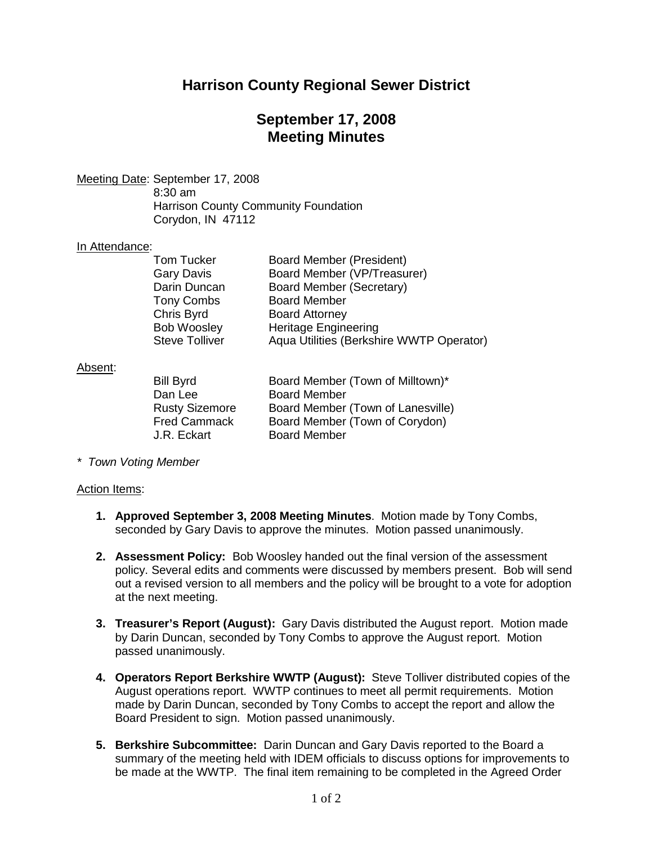# **Harrison County Regional Sewer District**

## **September 17, 2008 Meeting Minutes**

Meeting Date: September 17, 2008

8:30 am Harrison County Community Foundation Corydon, IN 47112

### In Attendance:

| <b>Tom Tucker</b>     | Board Member (President)                 |
|-----------------------|------------------------------------------|
| Gary Davis            | Board Member (VP/Treasurer)              |
| Darin Duncan          | Board Member (Secretary)                 |
| <b>Tony Combs</b>     | <b>Board Member</b>                      |
| Chris Byrd            | <b>Board Attorney</b>                    |
| <b>Bob Woosley</b>    | <b>Heritage Engineering</b>              |
| <b>Steve Tolliver</b> | Aqua Utilities (Berkshire WWTP Operator) |

#### Absent:

| <b>Bill Byrd</b>      | Board Member (Town of Milltown)*  |
|-----------------------|-----------------------------------|
| Dan Lee               | <b>Board Member</b>               |
| <b>Rusty Sizemore</b> | Board Member (Town of Lanesville) |
| <b>Fred Cammack</b>   | Board Member (Town of Corydon)    |
| J.R. Eckart           | <b>Board Member</b>               |
|                       |                                   |

*\* Town Voting Member*

### Action Items:

- **1. Approved September 3, 2008 Meeting Minutes**. Motion made by Tony Combs, seconded by Gary Davis to approve the minutes. Motion passed unanimously.
- **2. Assessment Policy:** Bob Woosley handed out the final version of the assessment policy. Several edits and comments were discussed by members present. Bob will send out a revised version to all members and the policy will be brought to a vote for adoption at the next meeting.
- **3. Treasurer's Report (August):** Gary Davis distributed the August report. Motion made by Darin Duncan, seconded by Tony Combs to approve the August report. Motion passed unanimously.
- **4. Operators Report Berkshire WWTP (August):** Steve Tolliver distributed copies of the August operations report. WWTP continues to meet all permit requirements. Motion made by Darin Duncan, seconded by Tony Combs to accept the report and allow the Board President to sign. Motion passed unanimously.
- **5. Berkshire Subcommittee:** Darin Duncan and Gary Davis reported to the Board a summary of the meeting held with IDEM officials to discuss options for improvements to be made at the WWTP. The final item remaining to be completed in the Agreed Order